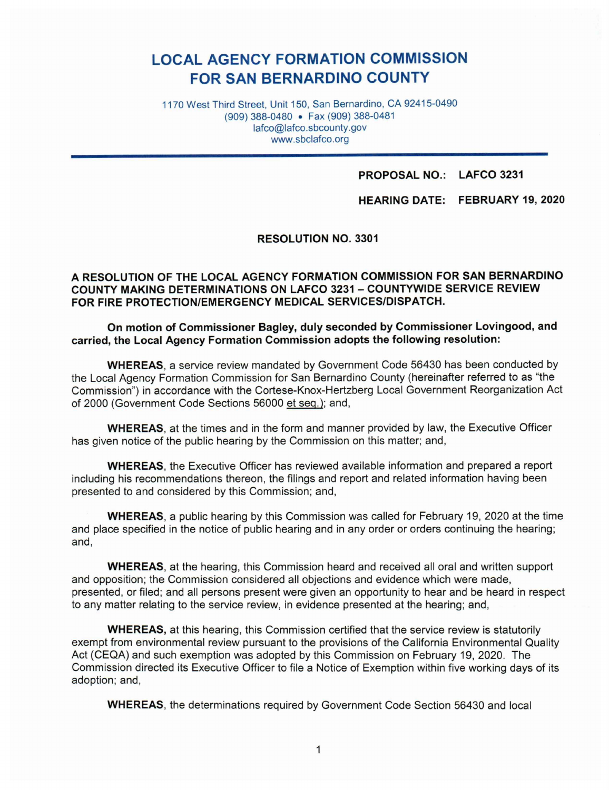# **LOCAL AGENCY FORMATION COMMISSION FOR SAN BERNARDINO COUNTY**

1170 West Third Street, Unit 150, San Bernardino, CA 92415-0490 (909) 388-0480 • Fax (909) 388-0481 lafco@lafco.sbcounty.gov www.sbclafco.org

## **PROPOSAL NO.: LAFCO 3231**

**HEARING DATE: FEBRUARY 19, 2020** 

**RESOLUTION NO. 3301** 

### **A RESOLUTION OF THE LOCAL AGENCY FORMATION COMMISSION FOR SAN BERNARDINO COUNTY MAKING DETERMINATIONS ON LAFCO 3231 - COUNTYWIDE SERVICE REVIEW FOR FIRE PROTECTION/EMERGENCY MEDICAL SERVICES/DISPATCH.**

### **On motion of Commissioner Bagley, duly seconded by Commissioner Lovingood, and carried, the Local Agency Formation Commission adopts the following resolution:**

**WHEREAS,** a service review mandated by Government Code 56430 has been conducted by the Local Agency Formation Commission for San Bernardino County (hereinafter referred to as "the Commission") in accordance with the Cortese-Knox-Hertzberg Local Government Reorganization Act of 2000 (Government Code Sections 56000 et seq.): and,

**WHEREAS,** at the times and in the form and manner provided by law, the Executive Officer has given notice of the public hearing by the Commission on this matter; and,

**WHEREAS,** the Executive Officer has reviewed available information and prepared a report including his recommendations thereon, the filings and report and related information having been presented to and considered by this Commission; and,

**WHEREAS,** a public hearing by this Commission was called for February 19, 2020 at the time and place specified in the notice of public hearing and in any order or orders continuing the hearing; and,

**WHEREAS,** at the hearing, this Commission heard and received all oral and written support and opposition; the Commission considered all objections and evidence which were made, presented, or filed; and all persons present were given an opportunity to hear and be heard in respect to any matter relating to the service review, in evidence presented at the hearing; and,

**WHEREAS,** at this hearing, this Commission certified that the service review is statutorily exempt from environmental review pursuant to the provisions of the California Environmental Quality Act (CEQA) and such exemption was adopted by this Commission on February 19, 2020. The Commission directed its Executive Officer to file a Notice of Exemption within five working days of its adoption; and,

**WHEREAS,** the determinations required by Government Code Section 56430 and local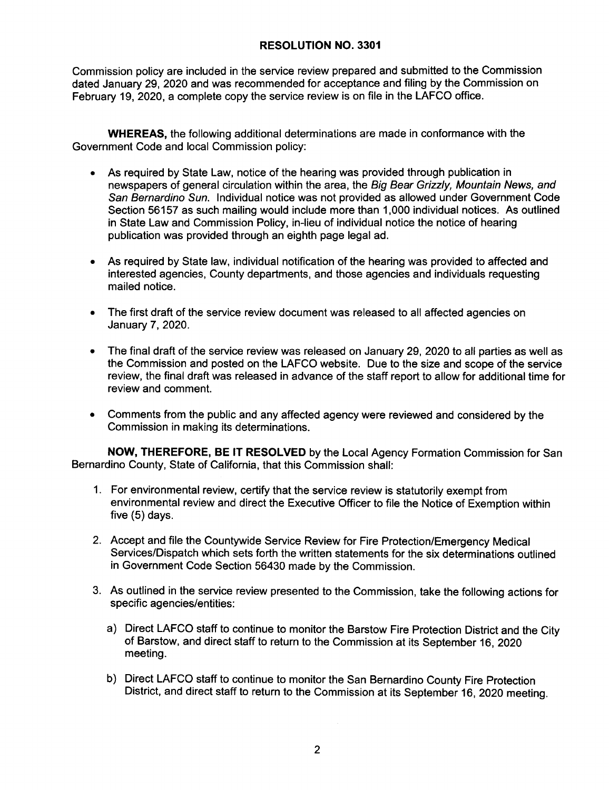### **RESOLUTION NO. 3301**

Commission policy are included in the service review prepared and submitted to the Commission dated January 29, 2020 and was recommended for acceptance and filing by the Commission on February 19, 2020, a complete copy the service review is on file in the LAFCO office.

**WHEREAS,** the following additional determinations are made in conformance with the Government Code and local Commission policy:

- As required by State Law, notice of the hearing was provided through publication in newspapers of general circulation within the area, the Big Bear Grizzly, Mountain News, and San Bernardino Sun. Individual notice was not provided as allowed under Government Code Section 56157 as such mailing would include more than 1,000 individual notices. As outlined in State Law and Commission Policy, in-lieu of individual notice the notice of hearing publication was provided through an eighth page legal ad.
- As required by State law, individual notification of the hearing was provided to affected and interested agencies, County departments, and those agencies and individuals requesting mailed notice.
- The first draft of the service review document was released to all affected agencies on January 7, 2020.
- The final draft of the service review was released on January 29, 2020 to all parties as well as the Commission and posted on the LAFCO website. Due to the size and scope of the service review, the final draft was released in advance of the staff report to allow for additional time for review and comment.
- Comments from the public and any affected agency were reviewed and considered by the Commission in making its determinations.

**NOW, THEREFORE, BE IT RESOLVED** by the Local Agency Formation Commission for San Bernardino County, State of California, that this Commission shall:

- 1. For environmental review, certify that the service review is statutorily exempt from environmental review and direct the Executive Officer to file the Notice of Exemption within five (5) days.
- 2. Accept and file the Countywide Service Review for Fire Protection/Emergency Medical Services/Dispatch which sets forth the written statements for the six determinations outlined in Government Code Section 56430 made by the Commission.
- 3. As outlined in the service review presented to the Commission, take the following actions for specific agencies/entities:
	- a) Direct LAFCO staff to continue to monitor the Barstow Fire Protection District and the City of Barstow, and direct staff to return to the Commission at its September 16, 2020 meeting.
	- b) Direct LAFCO staff to continue to monitor the San Bernardino County Fire Protection District, and direct staff to return to the Commission at its September 16, 2020 meeting.